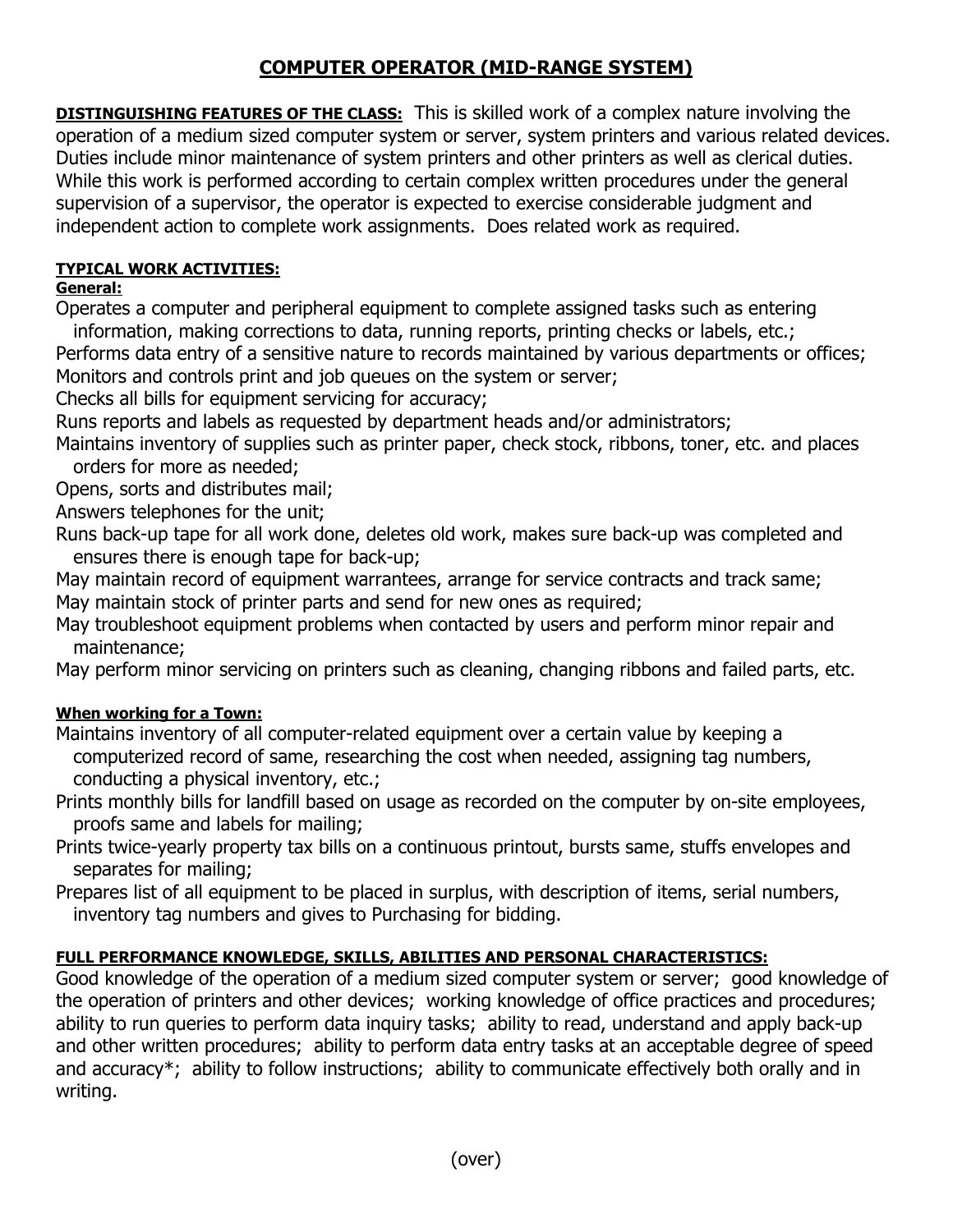# **COMPUTER OPERATOR (MID-RANGE SYSTEM)**

**DISTINGUISHING FEATURES OF THE CLASS:** This is skilled work of a complex nature involving the operation of a medium sized computer system or server, system printers and various related devices. Duties include minor maintenance of system printers and other printers as well as clerical duties. While this work is performed according to certain complex written procedures under the general supervision of a supervisor, the operator is expected to exercise considerable judgment and independent action to complete work assignments. Does related work as required.

## **TYPICAL WORK ACTIVITIES:**

### **General:**

Operates a computer and peripheral equipment to complete assigned tasks such as entering

information, making corrections to data, running reports, printing checks or labels, etc.;

Performs data entry of a sensitive nature to records maintained by various departments or offices; Monitors and controls print and job queues on the system or server;

Checks all bills for equipment servicing for accuracy;

Runs reports and labels as requested by department heads and/or administrators;

Maintains inventory of supplies such as printer paper, check stock, ribbons, toner, etc. and places orders for more as needed;

Opens, sorts and distributes mail;

Answers telephones for the unit;

Runs back-up tape for all work done, deletes old work, makes sure back-up was completed and ensures there is enough tape for back-up;

May maintain record of equipment warrantees, arrange for service contracts and track same; May maintain stock of printer parts and send for new ones as required;

May troubleshoot equipment problems when contacted by users and perform minor repair and maintenance;

May perform minor servicing on printers such as cleaning, changing ribbons and failed parts, etc.

#### **When working for a Town:**

- Maintains inventory of all computer-related equipment over a certain value by keeping a computerized record of same, researching the cost when needed, assigning tag numbers, conducting a physical inventory, etc.;
- Prints monthly bills for landfill based on usage as recorded on the computer by on-site employees, proofs same and labels for mailing;
- Prints twice-yearly property tax bills on a continuous printout, bursts same, stuffs envelopes and separates for mailing;
- Prepares list of all equipment to be placed in surplus, with description of items, serial numbers, inventory tag numbers and gives to Purchasing for bidding.

### **FULL PERFORMANCE KNOWLEDGE, SKILLS, ABILITIES AND PERSONAL CHARACTERISTICS:**

Good knowledge of the operation of a medium sized computer system or server; good knowledge of the operation of printers and other devices; working knowledge of office practices and procedures; ability to run queries to perform data inquiry tasks; ability to read, understand and apply back-up and other written procedures; ability to perform data entry tasks at an acceptable degree of speed and accuracy\*; ability to follow instructions; ability to communicate effectively both orally and in writing.